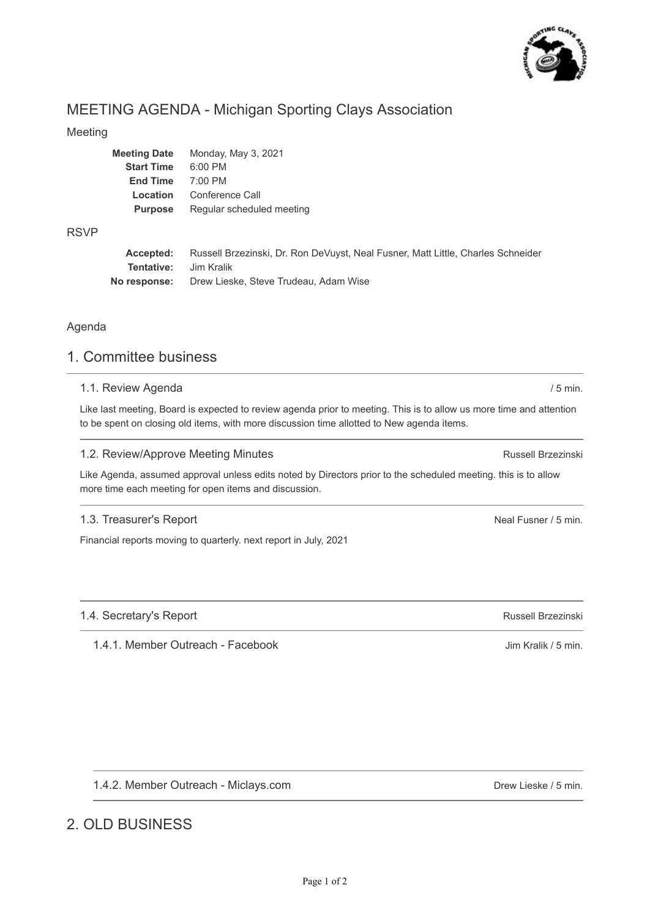

# MEETING AGENDA - Michigan Sporting Clays Association

### Meeting

| <b>Meeting Date</b> | Monday, May 3, 2021       |
|---------------------|---------------------------|
| <b>Start Time</b>   | $6:00$ PM                 |
| <b>End Time</b>     | $7:00$ PM                 |
| Location            | Conference Call           |
| <b>Purpose</b>      | Regular scheduled meeting |
|                     |                           |

### RSVP

**Accepted: Tentative: No response:** Russell Brzezinski, Dr. Ron DeVuyst, Neal Fusner, Matt Little, Charles Schneider Jim Kralik Drew Lieske, Steve Trudeau, Adam Wise

### Agenda

# 1. Committee business

### 1.1. Review Agenda

Like last meeting, Board is expected to review agenda prior to meeting. This is to allow us more time and attention to be spent on closing old items, with more discussion time allotted to New agenda items.

## 1.2. Review/Approve Meeting Minutes

Like Agenda, assumed approval unless edits noted by Directors prior to the scheduled meeting. this is to allow more time each meeting for open items and discussion.

# 1.3. Treasurer's Report

Financial reports moving to quarterly. next report in July, 2021

# 1.4. Secretary's Report

1.4.1. Member Outreach - Facebook

1.4.2. Member Outreach - Miclays.com

# 2. OLD BUSINESS

Drew Lieske / 5 min.

Russell Brzezinski

/ 5 min.

Neal Fusner / 5 min.

Russell Brzezinski

Jim Kralik / 5 min.